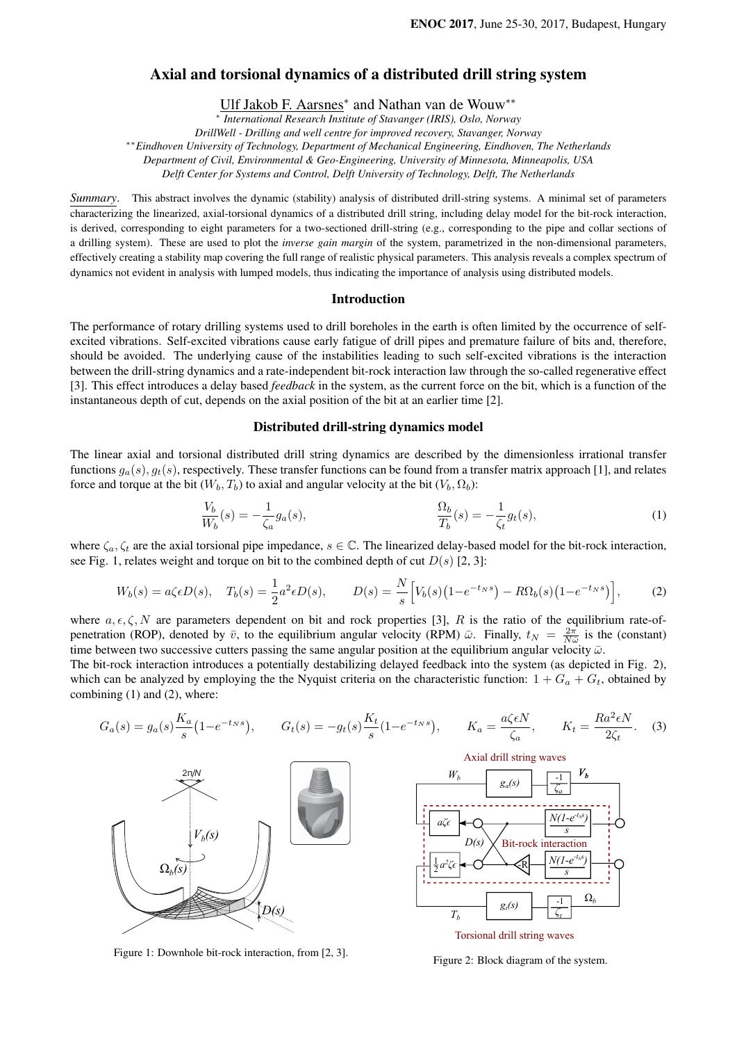# Axial and torsional dynamics of a distributed drill string system

Ulf Jakob F. Aarsnes<sup>\*</sup> and Nathan van de Wouw<sup>\*\*</sup>

∗ *International Research Institute of Stavanger (IRIS), Oslo, Norway*

*DrillWell - Drilling and well centre for improved recovery, Stavanger, Norway*

∗∗*Eindhoven University of Technology, Department of Mechanical Engineering, Eindhoven, The Netherlands*

*Department of Civil, Environmental & Geo-Engineering, University of Minnesota, Minneapolis, USA*

*Delft Center for Systems and Control, Delft University of Technology, Delft, The Netherlands*

*Summary*. This abstract involves the dynamic (stability) analysis of distributed drill-string systems. A minimal set of parameters characterizing the linearized, axial-torsional dynamics of a distributed drill string, including delay model for the bit-rock interaction, is derived, corresponding to eight parameters for a two-sectioned drill-string (e.g., corresponding to the pipe and collar sections of a drilling system). These are used to plot the *inverse gain margin* of the system, parametrized in the non-dimensional parameters, effectively creating a stability map covering the full range of realistic physical parameters. This analysis reveals a complex spectrum of dynamics not evident in analysis with lumped models, thus indicating the importance of analysis using distributed models.

#### Introduction

The performance of rotary drilling systems used to drill boreholes in the earth is often limited by the occurrence of selfexcited vibrations. Self-excited vibrations cause early fatigue of drill pipes and premature failure of bits and, therefore, should be avoided. The underlying cause of the instabilities leading to such self-excited vibrations is the interaction between the drill-string dynamics and a rate-independent bit-rock interaction law through the so-called regenerative effect [3]. This effect introduces a delay based *feedback* in the system, as the current force on the bit, which is a function of the instantaneous depth of cut, depends on the axial position of the bit at an earlier time [2].

## Distributed drill-string dynamics model

The linear axial and torsional distributed drill string dynamics are described by the dimensionless irrational transfer functions  $g_a(s)$ ,  $g_t(s)$ , respectively. These transfer functions can be found from a transfer matrix approach [1], and relates force and torque at the bit  $(W_b, T_b)$  to axial and angular velocity at the bit  $(V_b, \Omega_b)$ :

$$
\frac{V_b}{W_b}(s) = -\frac{1}{\zeta_a} g_a(s), \qquad \frac{\Omega_b}{T_b}(s) = -\frac{1}{\zeta_t} g_t(s), \qquad (1)
$$

where  $\zeta_a, \zeta_t$  are the axial torsional pipe impedance,  $s \in \mathbb{C}$ . The linearized delay-based model for the bit-rock interaction, see Fig. 1, relates weight and torque on bit to the combined depth of cut  $D(s)$  [2, 3]:

$$
W_b(s) = a\zeta \epsilon D(s), \quad T_b(s) = \frac{1}{2}a^2 \epsilon D(s), \qquad D(s) = \frac{N}{s} \Big[ V_b(s) \big( 1 - e^{-t_N s} \big) - R\Omega_b(s) \big( 1 - e^{-t_N s} \big) \Big], \tag{2}
$$

where  $a, \epsilon, \zeta, N$  are parameters dependent on bit and rock properties [3], R is the ratio of the equilibrium rate-ofpenetration (ROP), denoted by  $\bar{v}$ , to the equilibrium angular velocity (RPM)  $\bar{\omega}$ . Finally,  $t_N = \frac{2\pi}{N\bar{\omega}}$  is the (constant) time between two successive cutters passing the same angular position at the equilibrium angular velocity  $\bar{\omega}$ .

The bit-rock interaction introduces a potentially destabilizing delayed feedback into the system (as depicted in Fig. 2), which can be analyzed by employing the the Nyquist criteria on the characteristic function:  $1 + G_a + G_t$ , obtained by combining (1) and (2), where:

$$
G_a(s) = g_a(s) \frac{K_a}{s} (1 - e^{-t_N s}), \qquad G_t(s) = -g_t(s) \frac{K_t}{s} (1 - e^{-t_N s}), \qquad K_a = \frac{a\zeta \epsilon N}{\zeta_a}, \qquad K_t = \frac{Ra^2 \epsilon N}{2\zeta_t}.
$$
 (3)



Figure 1: Downhole bit-rock interaction, from [2, 3].



Figure 2: Block diagram of the system.